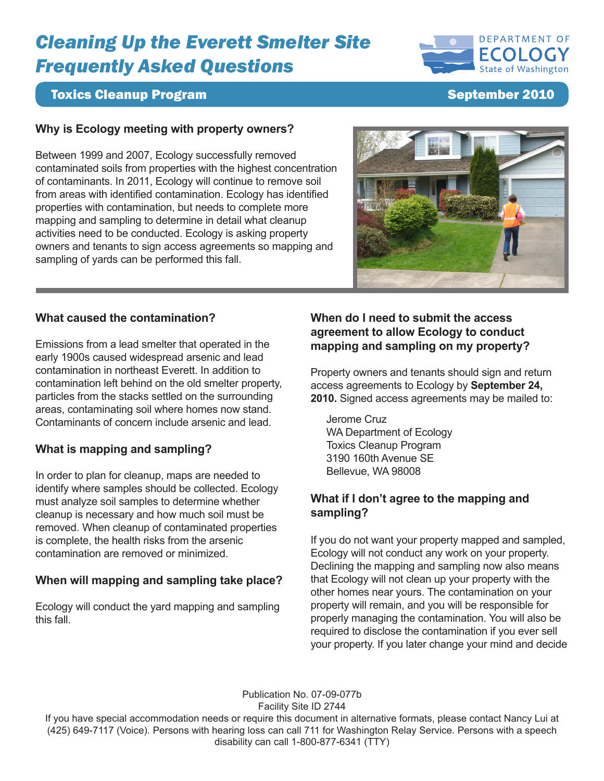# *Cleaning Up the Everett Smelter Site Frequently Asked Questions*



# **Toxics Cleanup Program September 2010**

### **Why is Ecology meeting with property owners?**

Between 1999 and 2007, Ecology successfully removed contaminated soils from properties with the highest concentration of contaminants. In 2011, Ecology will continue to remove soil from areas with identified contamination. Ecology has identified properties with contamination, but needs to complete more mapping and sampling to determine in detail what cleanup activities need to be conducted. Ecology is asking property owners and tenants to sign access agreements so mapping and sampling of yards can be performed this fall.



## **What caused the contamination?**

Emissions from a lead smelter that operated in the early 1900s caused widespread arsenic and lead contamination in northeast Everett. In addition to contamination left behind on the old smelter property, particles from the stacks settled on the surrounding areas, contaminating soil where homes now stand. Contaminants of concern include arsenic and lead.

### **What is mapping and sampling?**

In order to plan for cleanup, maps are needed to identify where samples should be collected. Ecology must analyze soil samples to determine whether cleanup is necessary and how much soil must be removed. When cleanup of contaminated properties is complete, the health risks from the arsenic contamination are removed or minimized.

### **When will mapping and sampling take place?**

Ecology will conduct the yard mapping and sampling this fall.

## **When do I need to submit the access agreement to allow Ecology to conduct mapping and sampling on my property?**

Property owners and tenants should sign and return access agreements to Ecology by **September 24, 2010.** Signed access agreements may be mailed to:

Jerome Cruz WA Department of Ecology Toxics Cleanup Program 3190 160th Avenue SE Bellevue, WA 98008

### **What if I don't agree to the mapping and sampling?**

If you do not want your property mapped and sampled, Ecology will not conduct any work on your property. Declining the mapping and sampling now also means that Ecology will not clean up your property with the other homes near yours. The contamination on your property will remain, and you will be responsible for properly managing the contamination. You will also be required to disclose the contamination if you ever sell your property. If you later change your mind and decide

Publication No. 07-09-077b

Facility Site ID 2744

If you have special accommodation needs or require this document in alternative formats, please contact Nancy Lui at (425) 649-7117 (Voice). Persons with hearing loss can call 711 for Washington Relay Service. Persons with a speech disability can call 1-800-877-6341 (TTY)